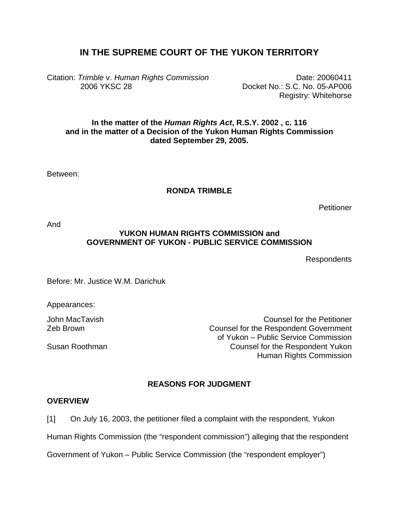# **IN THE SUPREME COURT OF THE YUKON TERRITORY**

Citation: *Trimble* v. *Human Rights Commission*  2006 YKSC 28

Date: 20060411 Docket No.: S.C. No. 05-AP006 Registry: Whitehorse

# **In the matter of the** *Human Rights Act***, R.S.Y. 2002 , c. 116 and in the matter of a Decision of the Yukon Human Rights Commission dated September 29, 2005.**

Between:

# **RONDA TRIMBLE**

**Petitioner** 

And

# **YUKON HUMAN RIGHTS COMMISSION and GOVERNMENT OF YUKON - PUBLIC SERVICE COMMISSION**

Respondents

Before: Mr. Justice W.M. Darichuk

Appearances:

John MacTavish Counsel for the Petitioner Zeb Brown Counsel for the Respondent Government of Yukon – Public Service Commission Susan Roothman Counsel for the Respondent Yukon Human Rights Commission

# **REASONS FOR JUDGMENT**

#### **OVERVIEW**

[1] On July 16, 2003, the petitioner filed a complaint with the respondent, Yukon

Human Rights Commission (the "respondent commission") alleging that the respondent

Government of Yukon – Public Service Commission (the "respondent employer")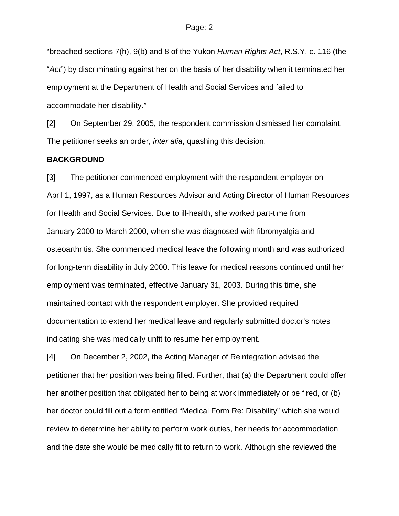"breached sections 7(h), 9(b) and 8 of the Yukon *Human Rights Act*, R.S.Y. c. 116 (the "*Act*") by discriminating against her on the basis of her disability when it terminated her employment at the Department of Health and Social Services and failed to accommodate her disability."

[2] On September 29, 2005, the respondent commission dismissed her complaint. The petitioner seeks an order, *inter alia*, quashing this decision.

#### **BACKGROUND**

[3] The petitioner commenced employment with the respondent employer on April 1, 1997, as a Human Resources Advisor and Acting Director of Human Resources for Health and Social Services. Due to ill-health, she worked part-time from January 2000 to March 2000, when she was diagnosed with fibromyalgia and osteoarthritis. She commenced medical leave the following month and was authorized for long-term disability in July 2000. This leave for medical reasons continued until her employment was terminated, effective January 31, 2003. During this time, she maintained contact with the respondent employer. She provided required documentation to extend her medical leave and regularly submitted doctor's notes indicating she was medically unfit to resume her employment.

[4] On December 2, 2002, the Acting Manager of Reintegration advised the petitioner that her position was being filled. Further, that (a) the Department could offer her another position that obligated her to being at work immediately or be fired, or (b) her doctor could fill out a form entitled "Medical Form Re: Disability" which she would review to determine her ability to perform work duties, her needs for accommodation and the date she would be medically fit to return to work. Although she reviewed the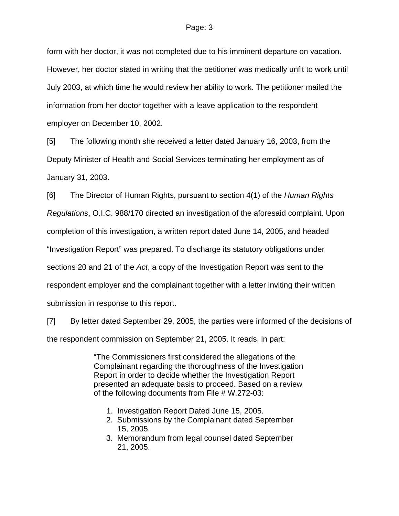form with her doctor, it was not completed due to his imminent departure on vacation. However, her doctor stated in writing that the petitioner was medically unfit to work until July 2003, at which time he would review her ability to work. The petitioner mailed the information from her doctor together with a leave application to the respondent employer on December 10, 2002.

[5] The following month she received a letter dated January 16, 2003, from the Deputy Minister of Health and Social Services terminating her employment as of January 31, 2003.

[6] The Director of Human Rights, pursuant to section 4(1) of the *Human Rights* 

*Regulations*, O.I.C. 988/170 directed an investigation of the aforesaid complaint. Upon

completion of this investigation, a written report dated June 14, 2005, and headed

"Investigation Report" was prepared. To discharge its statutory obligations under

sections 20 and 21 of the *Act*, a copy of the Investigation Report was sent to the

respondent employer and the complainant together with a letter inviting their written

submission in response to this report.

[7] By letter dated September 29, 2005, the parties were informed of the decisions of the respondent commission on September 21, 2005. It reads, in part:

> "The Commissioners first considered the allegations of the Complainant regarding the thoroughness of the Investigation Report in order to decide whether the Investigation Report presented an adequate basis to proceed. Based on a review of the following documents from File # W.272-03:

- 1. Investigation Report Dated June 15, 2005.
- 2. Submissions by the Complainant dated September 15, 2005.
- 3. Memorandum from legal counsel dated September 21, 2005.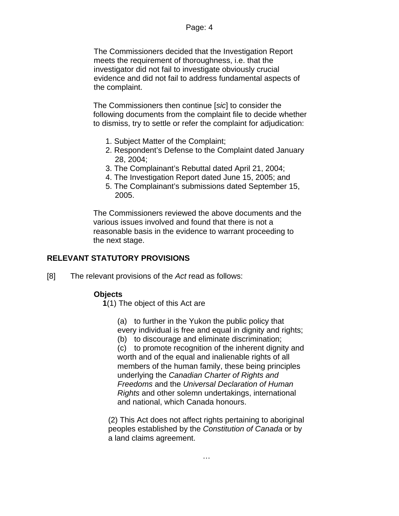The Commissioners decided that the Investigation Report meets the requirement of thoroughness, i.e. that the investigator did not fail to investigate obviously crucial evidence and did not fail to address fundamental aspects of the complaint.

The Commissioners then continue [*sic*] to consider the following documents from the complaint file to decide whether to dismiss, try to settle or refer the complaint for adjudication:

- 1. Subject Matter of the Complaint;
- 2. Respondent's Defense to the Complaint dated January 28, 2004;
- 3. The Complainant's Rebuttal dated April 21, 2004;
- 4. The Investigation Report dated June 15, 2005; and
- 5. The Complainant's submissions dated September 15, 2005.

The Commissioners reviewed the above documents and the various issues involved and found that there is not a reasonable basis in the evidence to warrant proceeding to the next stage.

# **RELEVANT STATUTORY PROVISIONS**

[8] The relevant provisions of the *Act* read as follows:

# **Objects**

**1**(1) The object of this Act are

(a) to further in the Yukon the public policy that every individual is free and equal in dignity and rights;

(b) to discourage and eliminate discrimination;

(c) to promote recognition of the inherent dignity and worth and of the equal and inalienable rights of all members of the human family, these being principles underlying the *Canadian Charter of Rights and Freedoms* and the *Universal Declaration of Human Rights* and other solemn undertakings, international and national, which Canada honours.

(2) This Act does not affect rights pertaining to aboriginal peoples established by the *Constitution of Canada* or by a land claims agreement.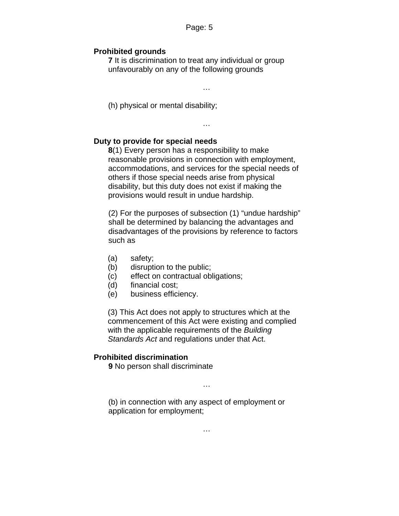## **Prohibited grounds**

**7** It is discrimination to treat any individual or group unfavourably on any of the following grounds

…

(h) physical or mental disability;

…

#### **Duty to provide for special needs**

**8**(1) Every person has a responsibility to make reasonable provisions in connection with employment, accommodations, and services for the special needs of others if those special needs arise from physical disability, but this duty does not exist if making the provisions would result in undue hardship.

(2) For the purposes of subsection (1) "undue hardship" shall be determined by balancing the advantages and disadvantages of the provisions by reference to factors such as

- (a) safety;
- (b) disruption to the public;
- (c) effect on contractual obligations;
- (d) financial cost;
- (e) business efficiency.

(3) This Act does not apply to structures which at the commencement of this Act were existing and complied with the applicable requirements of the *Building Standards Act* and regulations under that Act.

## **Prohibited discrimination**

**9** No person shall discriminate

(b) in connection with any aspect of employment or application for employment;

…

…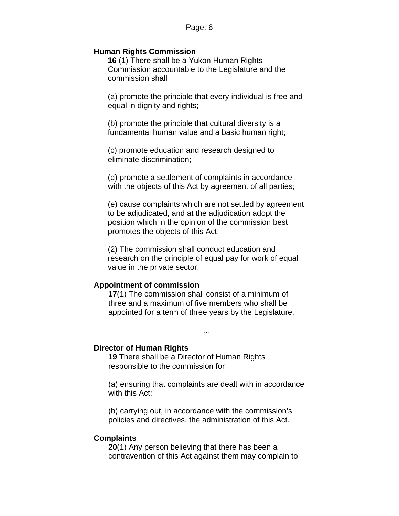### **Human Rights Commission**

**16** (1) There shall be a Yukon Human Rights Commission accountable to the Legislature and the commission shall

(a) promote the principle that every individual is free and equal in dignity and rights;

(b) promote the principle that cultural diversity is a fundamental human value and a basic human right;

(c) promote education and research designed to eliminate discrimination;

(d) promote a settlement of complaints in accordance with the objects of this Act by agreement of all parties;

(e) cause complaints which are not settled by agreement to be adjudicated, and at the adjudication adopt the position which in the opinion of the commission best promotes the objects of this Act.

(2) The commission shall conduct education and research on the principle of equal pay for work of equal value in the private sector.

# **Appointment of commission**

**17**(1) The commission shall consist of a minimum of three and a maximum of five members who shall be appointed for a term of three years by the Legislature.

…

#### **Director of Human Rights**

**19** There shall be a Director of Human Rights responsible to the commission for

(a) ensuring that complaints are dealt with in accordance with this Act;

(b) carrying out, in accordance with the commission's policies and directives, the administration of this Act.

#### **Complaints**

**20**(1) Any person believing that there has been a contravention of this Act against them may complain to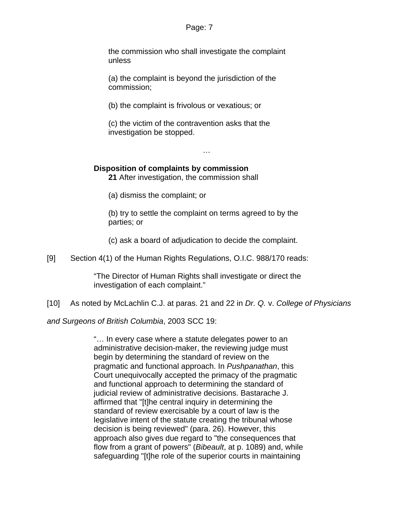the commission who shall investigate the complaint unless

(a) the complaint is beyond the jurisdiction of the commission;

(b) the complaint is frivolous or vexatious; or

(c) the victim of the contravention asks that the investigation be stopped.

**Disposition of complaints by commission**

**21** After investigation, the commission shall

(a) dismiss the complaint; or

(b) try to settle the complaint on terms agreed to by the parties; or

…

(c) ask a board of adjudication to decide the complaint.

[9] Section 4(1) of the Human Rights Regulations, O.I.C. 988/170 reads:

"The Director of Human Rights shall investigate or direct the investigation of each complaint."

[10] As noted by McLachlin C.J. at paras. 21 and 22 in *Dr. Q.* v. *College of Physicians* 

*and Surgeons of British Columbia*, 2003 SCC 19:

"… In every case where a statute delegates power to an administrative decision-maker, the reviewing judge must begin by determining the standard of review on the pragmatic and functional approach. In *Pushpanathan*, this Court unequivocally accepted the primacy of the pragmatic and functional approach to determining the standard of judicial review of administrative decisions. Bastarache J. affirmed that "[t]he central inquiry in determining the standard of review exercisable by a court of law is the legislative intent of the statute creating the tribunal whose decision is being reviewed" (para. 26). However, this approach also gives due regard to "the consequences that flow from a grant of powers" (*Bibeault*, at p. 1089) and, while safeguarding "[t]he role of the superior courts in maintaining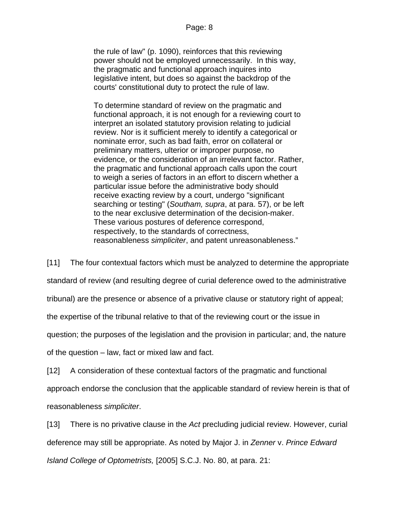the rule of law" (p. 1090), reinforces that this reviewing power should not be employed unnecessarily. In this way, the pragmatic and functional approach inquires into legislative intent, but does so against the backdrop of the courts' constitutional duty to protect the rule of law.

To determine standard of review on the pragmatic and functional approach, it is not enough for a reviewing court to interpret an isolated statutory provision relating to judicial review. Nor is it sufficient merely to identify a categorical or nominate error, such as bad faith, error on collateral or preliminary matters, ulterior or improper purpose, no evidence, or the consideration of an irrelevant factor. Rather, the pragmatic and functional approach calls upon the court to weigh a series of factors in an effort to discern whether a particular issue before the administrative body should receive exacting review by a court, undergo "significant searching or testing" (*Southam, supra*, at para. 57), or be left to the near exclusive determination of the decision-maker. These various postures of deference correspond, respectively, to the standards of correctness, reasonableness *simpliciter*, and patent unreasonableness."

[11] The four contextual factors which must be analyzed to determine the appropriate

standard of review (and resulting degree of curial deference owed to the administrative

tribunal) are the presence or absence of a privative clause or statutory right of appeal;

the expertise of the tribunal relative to that of the reviewing court or the issue in

question; the purposes of the legislation and the provision in particular; and, the nature

of the question – law, fact or mixed law and fact.

[12] A consideration of these contextual factors of the pragmatic and functional

approach endorse the conclusion that the applicable standard of review herein is that of reasonableness *simpliciter*.

[13] There is no privative clause in the *Act* precluding judicial review. However, curial deference may still be appropriate. As noted by Major J. in *Zenner* v. *Prince Edward Island College of Optometrists,* [2005] S.C.J. No. 80, at para. 21: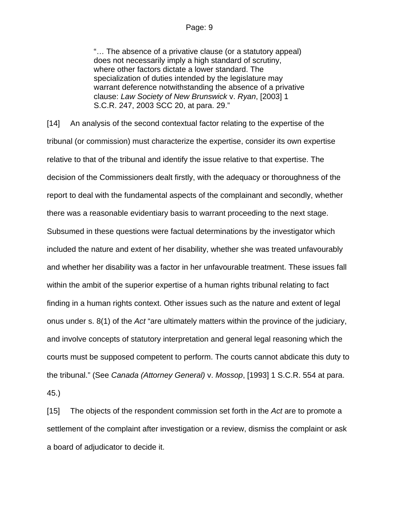"… The absence of a privative clause (or a statutory appeal) does not necessarily imply a high standard of scrutiny, where other factors dictate a lower standard. The specialization of duties intended by the legislature may warrant deference notwithstanding the absence of a privative clause: *Law Society of New Brunswick* v. *Ryan*, [2003] 1 S.C.R. 247, 2003 SCC 20, at para. 29."

[14] An analysis of the second contextual factor relating to the expertise of the tribunal (or commission) must characterize the expertise, consider its own expertise relative to that of the tribunal and identify the issue relative to that expertise. The decision of the Commissioners dealt firstly, with the adequacy or thoroughness of the report to deal with the fundamental aspects of the complainant and secondly, whether there was a reasonable evidentiary basis to warrant proceeding to the next stage. Subsumed in these questions were factual determinations by the investigator which included the nature and extent of her disability, whether she was treated unfavourably and whether her disability was a factor in her unfavourable treatment. These issues fall within the ambit of the superior expertise of a human rights tribunal relating to fact finding in a human rights context. Other issues such as the nature and extent of legal onus under s. 8(1) of the *Act* "are ultimately matters within the province of the judiciary, and involve concepts of statutory interpretation and general legal reasoning which the courts must be supposed competent to perform. The courts cannot abdicate this duty to the tribunal." (See *Canada (Attorney General)* v. *Mossop*, [1993] 1 S.C.R. 554 at para. 45.)

[15] The objects of the respondent commission set forth in the *Act* are to promote a settlement of the complaint after investigation or a review, dismiss the complaint or ask a board of adjudicator to decide it.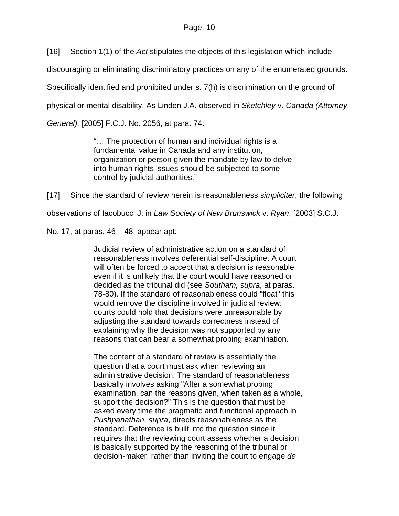[16] Section 1(1) of the *Act* stipulates the objects of this legislation which include

discouraging or eliminating discriminatory practices on any of the enumerated grounds.

Specifically identified and prohibited under s. 7(h) is discrimination on the ground of

physical or mental disability. As Linden J.A. observed in *Sketchley* v. *Canada (Attorney* 

*General),* [2005] F.C.J. No. 2056, at para. 74:

"… The protection of human and individual rights is a fundamental value in Canada and any institution, organization or person given the mandate by law to delve into human rights issues should be subjected to some control by judicial authorities."

[17] Since the standard of review herein is reasonableness *simpliciter*, the following observations of Iacobucci J. in *Law Society of New Brunswick* v. *Ryan*, [2003] S.C.J. No. 17, at paras. 46 – 48, appear apt:

> Judicial review of administrative action on a standard of reasonableness involves deferential self-discipline. A court will often be forced to accept that a decision is reasonable even if it is unlikely that the court would have reasoned or decided as the tribunal did (see *Southam, supra*, at paras. 78-80). If the standard of reasonableness could "float" this would remove the discipline involved in judicial review: courts could hold that decisions were unreasonable by adjusting the standard towards correctness instead of explaining why the decision was not supported by any reasons that can bear a somewhat probing examination.

The content of a standard of review is essentially the question that a court must ask when reviewing an administrative decision. The standard of reasonableness basically involves asking "After a somewhat probing examination, can the reasons given, when taken as a whole, support the decision?" This is the question that must be asked every time the pragmatic and functional approach in *Pushpanathan, supra*, directs reasonableness as the standard. Deference is built into the question since it requires that the reviewing court assess whether a decision is basically supported by the reasoning of the tribunal or decision-maker, rather than inviting the court to engage *de*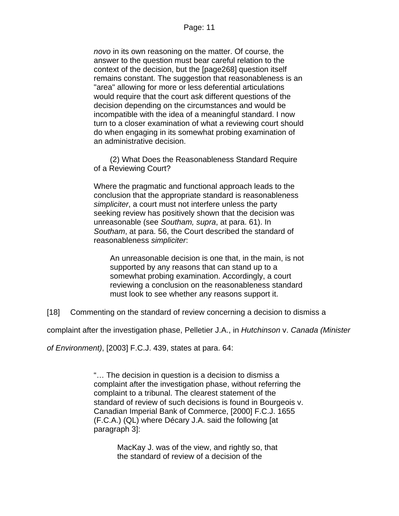*novo* in its own reasoning on the matter. Of course, the answer to the question must bear careful relation to the context of the decision, but the [page268] question itself remains constant. The suggestion that reasonableness is an "area" allowing for more or less deferential articulations would require that the court ask different questions of the decision depending on the circumstances and would be incompatible with the idea of a meaningful standard. I now turn to a closer examination of what a reviewing court should do when engaging in its somewhat probing examination of an administrative decision.

(2) What Does the Reasonableness Standard Require of a Reviewing Court?

Where the pragmatic and functional approach leads to the conclusion that the appropriate standard is reasonableness *simpliciter*, a court must not interfere unless the party seeking review has positively shown that the decision was unreasonable (see *Southam, supra*, at para. 61). In *Southam*, at para. 56, the Court described the standard of reasonableness *simpliciter*:

An unreasonable decision is one that, in the main, is not supported by any reasons that can stand up to a somewhat probing examination. Accordingly, a court reviewing a conclusion on the reasonableness standard must look to see whether any reasons support it.

[18] Commenting on the standard of review concerning a decision to dismiss a

complaint after the investigation phase, Pelletier J.A., in *Hutchinson* v. *Canada (Minister* 

*of Environment)*, [2003] F.C.J. 439, states at para. 64:

"… The decision in question is a decision to dismiss a complaint after the investigation phase, without referring the complaint to a tribunal. The clearest statement of the standard of review of such decisions is found in Bourgeois v. Canadian Imperial Bank of Commerce, [2000] F.C.J. 1655 (F.C.A.) (QL) where Décary J.A. said the following [at paragraph 3]:

> MacKay J. was of the view, and rightly so, that the standard of review of a decision of the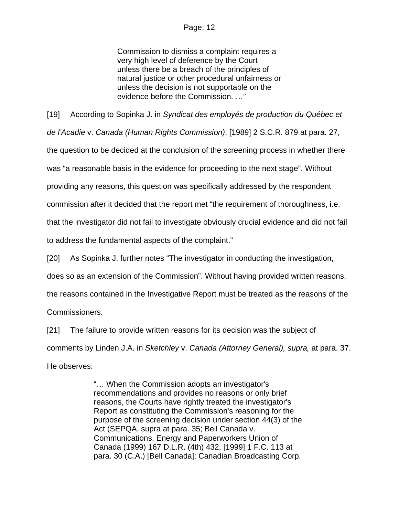Commission to dismiss a complaint requires a very high level of deference by the Court unless there be a breach of the principles of natural justice or other procedural unfairness or unless the decision is not supportable on the evidence before the Commission. …"

[19] According to Sopinka J. in *Syndicat des employés de production du Québec et de l'Acadie* v. *Canada (Human Rights Commission)*, [1989] 2 S.C.R. 879 at para. 27, the question to be decided at the conclusion of the screening process in whether there was "a reasonable basis in the evidence for proceeding to the next stage". Without providing any reasons, this question was specifically addressed by the respondent commission after it decided that the report met "the requirement of thoroughness, i.e. that the investigator did not fail to investigate obviously crucial evidence and did not fail to address the fundamental aspects of the complaint."

[20] As Sopinka J. further notes "The investigator in conducting the investigation,

does so as an extension of the Commission". Without having provided written reasons,

the reasons contained in the Investigative Report must be treated as the reasons of the

Commissioners.

[21] The failure to provide written reasons for its decision was the subject of

comments by Linden J.A. in *Sketchley* v. *Canada (Attorney General), supra,* at para. 37. He observes:

> "… When the Commission adopts an investigator's recommendations and provides no reasons or only brief reasons, the Courts have rightly treated the investigator's Report as constituting the Commission's reasoning for the purpose of the screening decision under section 44(3) of the Act (SEPQA, supra at para. 35; Bell Canada v. Communications, Energy and Paperworkers Union of Canada (1999) 167 D.L.R. (4th) 432, [1999] 1 F.C. 113 at para. 30 (C.A.) [Bell Canada]; Canadian Broadcasting Corp.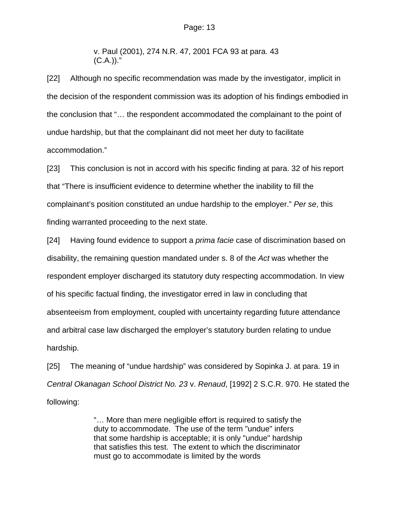v. Paul (2001), 274 N.R. 47, 2001 FCA 93 at para. 43  $(C.A.)$ )."

[22] Although no specific recommendation was made by the investigator, implicit in the decision of the respondent commission was its adoption of his findings embodied in the conclusion that "… the respondent accommodated the complainant to the point of undue hardship, but that the complainant did not meet her duty to facilitate accommodation."

[23] This conclusion is not in accord with his specific finding at para. 32 of his report that "There is insufficient evidence to determine whether the inability to fill the complainant's position constituted an undue hardship to the employer." *Per se*, this finding warranted proceeding to the next state.

[24] Having found evidence to support a *prima facie* case of discrimination based on disability, the remaining question mandated under s. 8 of the *Act* was whether the respondent employer discharged its statutory duty respecting accommodation. In view of his specific factual finding, the investigator erred in law in concluding that absenteeism from employment, coupled with uncertainty regarding future attendance and arbitral case law discharged the employer's statutory burden relating to undue hardship.

[25] The meaning of "undue hardship" was considered by Sopinka J. at para. 19 in *Central Okanagan School District No. 23* v. *Renaud*, [1992] 2 S.C.R. 970. He stated the following:

> "… More than mere negligible effort is required to satisfy the duty to accommodate. The use of the term "undue" infers that some hardship is acceptable; it is only "undue" hardship that satisfies this test. The extent to which the discriminator must go to accommodate is limited by the words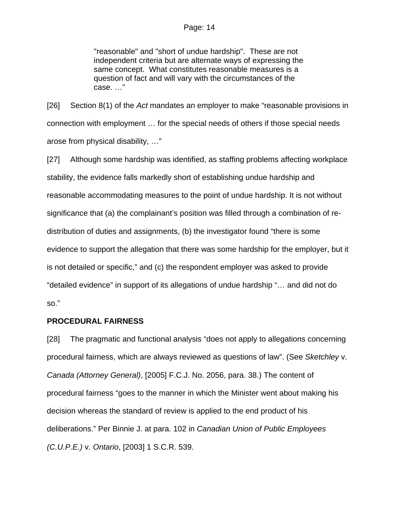"reasonable" and "short of undue hardship". These are not independent criteria but are alternate ways of expressing the same concept. What constitutes reasonable measures is a question of fact and will vary with the circumstances of the case. …"

[26] Section 8(1) of the *Act* mandates an employer to make "reasonable provisions in connection with employment … for the special needs of others if those special needs arose from physical disability, …"

[27] Although some hardship was identified, as staffing problems affecting workplace stability, the evidence falls markedly short of establishing undue hardship and reasonable accommodating measures to the point of undue hardship. It is not without significance that (a) the complainant's position was filled through a combination of redistribution of duties and assignments, (b) the investigator found "there is some evidence to support the allegation that there was some hardship for the employer, but it is not detailed or specific," and (c) the respondent employer was asked to provide "detailed evidence" in support of its allegations of undue hardship "… and did not do so."

#### **PROCEDURAL FAIRNESS**

[28] The pragmatic and functional analysis "does not apply to allegations concerning procedural fairness, which are always reviewed as questions of law". (See *Sketchley* v. *Canada (Attorney General)*, [2005] F.C.J. No. 2056, para. 38.) The content of procedural fairness "goes to the manner in which the Minister went about making his decision whereas the standard of review is applied to the end product of his deliberations." Per Binnie J. at para. 102 in *Canadian Union of Public Employees (C.U.P.E.)* v. *Ontario*, [2003] 1 S.C.R. 539.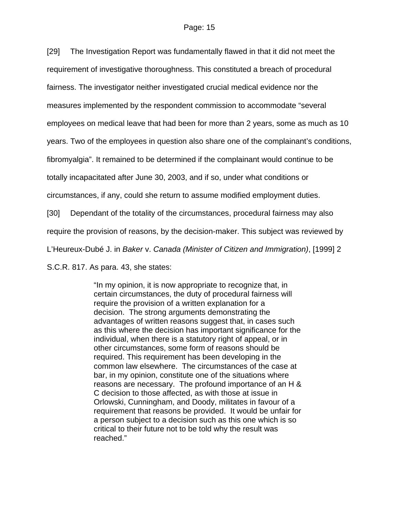[29] The Investigation Report was fundamentally flawed in that it did not meet the

requirement of investigative thoroughness. This constituted a breach of procedural

fairness. The investigator neither investigated crucial medical evidence nor the

measures implemented by the respondent commission to accommodate "several

employees on medical leave that had been for more than 2 years, some as much as 10

years. Two of the employees in question also share one of the complainant's conditions,

fibromyalgia". It remained to be determined if the complainant would continue to be

totally incapacitated after June 30, 2003, and if so, under what conditions or

circumstances, if any, could she return to assume modified employment duties.

[30] Dependant of the totality of the circumstances, procedural fairness may also

require the provision of reasons, by the decision-maker. This subject was reviewed by

L'Heureux-Dubé J. in *Baker* v. *Canada (Minister of Citizen and Immigration)*, [1999] 2

S.C.R. 817. As para. 43, she states:

"In my opinion, it is now appropriate to recognize that, in certain circumstances, the duty of procedural fairness will require the provision of a written explanation for a decision. The strong arguments demonstrating the advantages of written reasons suggest that, in cases such as this where the decision has important significance for the individual, when there is a statutory right of appeal, or in other circumstances, some form of reasons should be required. This requirement has been developing in the common law elsewhere. The circumstances of the case at bar, in my opinion, constitute one of the situations where reasons are necessary. The profound importance of an H & C decision to those affected, as with those at issue in Orlowski, Cunningham, and Doody, militates in favour of a requirement that reasons be provided. It would be unfair for a person subject to a decision such as this one which is so critical to their future not to be told why the result was reached."